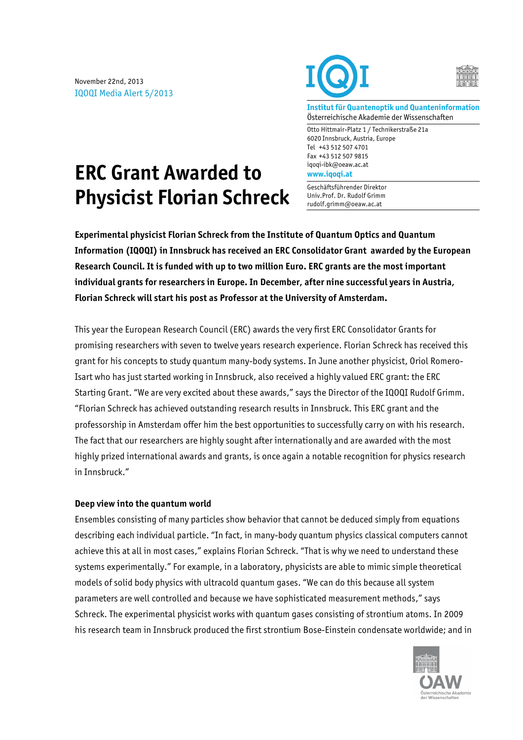November 22nd, 2013 IQOQI Media Alert 5/2013





**Institut für Quantenoptik und Quanteninformation** Österreichische Akademie der Wissenschaften

Otto Hittmair-Platz 1 / Technikerstraße 21a 6020 Innsbruck, Austria, Europe Tel +43 512 507 4701 Fax +43 512 507 9815 iqoqi-ibk@oeaw.ac.at **www.iqoqi.at**

Geschäftsführender Direktor Univ.Prof. Dr. Rudolf Grimm rudolf.grimm@oeaw.ac.at

# **ERC Grant Awarded to Physicist Florian Schreck**

**Experimental physicist Florian Schreck from the Institute of Quantum Optics and Quantum Information (IQOQI) in Innsbruck has received an ERC Consolidator Grant awarded by the European Research Council. It is funded with up to two million Euro. ERC grants are the most important individual grants for researchers in Europe. In December, after nine successful years in Austria, Florian Schreck will start his post as Professor at the University of Amsterdam.** 

This year the European Research Council (ERC) awards the very first ERC Consolidator Grants for promising researchers with seven to twelve years research experience. Florian Schreck has received this grant for his concepts to study quantum many-body systems. In June another physicist, Oriol Romero-Isart who has just started working in Innsbruck, also received a highly valued ERC grant: the ERC Starting Grant. "We are very excited about these awards," says the Director of the IQOQI Rudolf Grimm. "Florian Schreck has achieved outstanding research results in Innsbruck. This ERC grant and the professorship in Amsterdam offer him the best opportunities to successfully carry on with his research. The fact that our researchers are highly sought after internationally and are awarded with the most highly prized international awards and grants, is once again a notable recognition for physics research in Innsbruck."

## **Deep view into the quantum world**

Ensembles consisting of many particles show behavior that cannot be deduced simply from equations describing each individual particle. "In fact, in many-body quantum physics classical computers cannot achieve this at all in most cases," explains Florian Schreck. "That is why we need to understand these systems experimentally." For example, in a laboratory, physicists are able to mimic simple theoretical models of solid body physics with ultracold quantum gases. "We can do this because all system parameters are well controlled and because we have sophisticated measurement methods," says Schreck. The experimental physicist works with quantum gases consisting of strontium atoms. In 2009 his research team in Innsbruck produced the first strontium Bose-Einstein condensate worldwide; and in

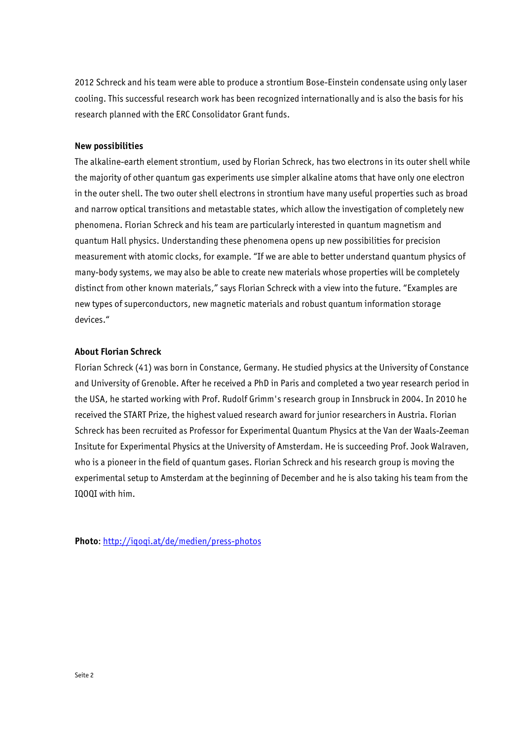2012 Schreck and his team were able to produce a strontium Bose-Einstein condensate using only laser cooling. This successful research work has been recognized internationally and is also the basis for his research planned with the ERC Consolidator Grant funds.

#### **New possibilities**

The alkaline-earth element strontium, used by Florian Schreck, has two electrons in its outer shell while the majority of other quantum gas experiments use simpler alkaline atoms that have only one electron in the outer shell. The two outer shell electrons in strontium have many useful properties such as broad and narrow optical transitions and metastable states, which allow the investigation of completely new phenomena. Florian Schreck and his team are particularly interested in quantum magnetism and quantum Hall physics. Understanding these phenomena opens up new possibilities for precision measurement with atomic clocks, for example. "If we are able to better understand quantum physics of many-body systems, we may also be able to create new materials whose properties will be completely distinct from other known materials," says Florian Schreck with a view into the future. "Examples are new types of superconductors, new magnetic materials and robust quantum information storage devices."

### **About Florian Schreck**

Florian Schreck (41) was born in Constance, Germany. He studied physics at the University of Constance and University of Grenoble. After he received a PhD in Paris and completed a two year research period in the USA, he started working with Prof. Rudolf Grimm's research group in Innsbruck in 2004. In 2010 he received the START Prize, the highest valued research award for junior researchers in Austria. Florian Schreck has been recruited as Professor for Experimental Quantum Physics at the Van der Waals-Zeeman Insitute for Experimental Physics at the University of Amsterdam. He is succeeding Prof. Jook Walraven, who is a pioneer in the field of quantum gases. Florian Schreck and his research group is moving the experimental setup to Amsterdam at the beginning of December and he is also taking his team from the IQOQI with him.

**Photo**: http://iqoqi.at/de/medien/press-photos